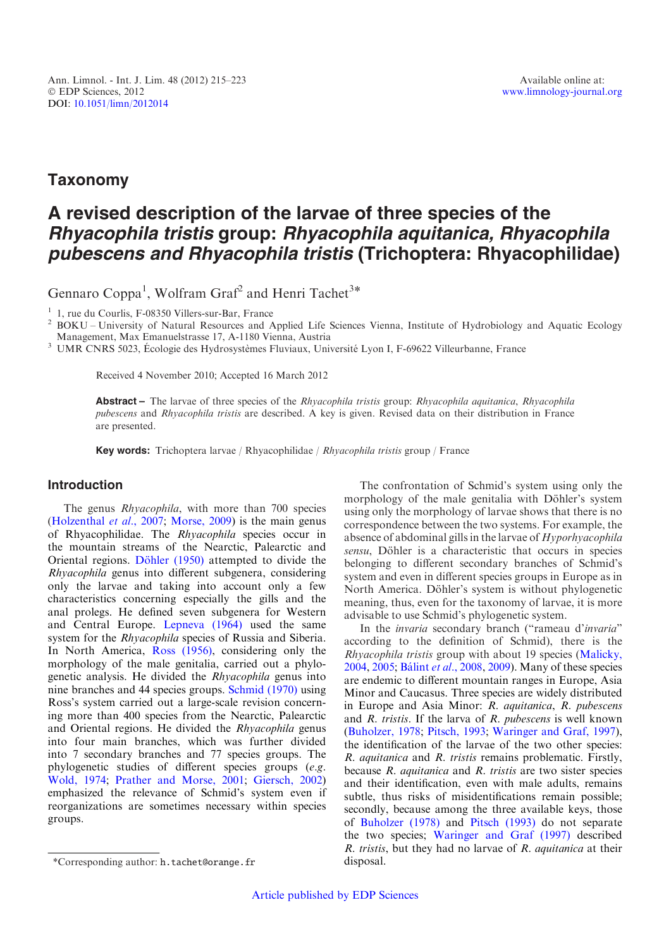## Taxonomy

# A revised description of the larvae of three species of the Rhyacophila tristis group: Rhyacophila aquitanica, Rhyacophila pubescens and Rhyacophila tristis (Trichoptera: Rhyacophilidae)

Gennaro Coppa<sup>1</sup>, Wolfram Graf<sup>2</sup> and Henri Tachet<sup>3\*</sup>

<sup>1</sup> 1, rue du Courlis, F-08350 Villers-sur-Bar, France<br><sup>2</sup> BOKU – University of Natural Resources and Applied Life Sciences Vienna, Institute of Hydrobiology and Aquatic Ecology Management, Max Emanuelstrasse 17, A-1180 Vienna, Austria<br><sup>3</sup> UMR CNRS 5023, Écologie des Hydrosystèmes Fluviaux, Université Lyon I, F-69622 Villeurbanne, France

Received 4 November 2010; Accepted 16 March 2012

Abstract – The larvae of three species of the Rhyacophila tristis group: Rhyacophila aquitanica, Rhyacophila pubescens and Rhyacophila tristis are described. A key is given. Revised data on their distribution in France are presented.

Key words: Trichoptera larvae / Rhyacophilidae / Rhyacophila tristis group / France

## Introduction

The genus *Rhyacophila*, with more than 700 species ([Holzenthal](#page-7-0) et al., 2007; [Morse, 2009\)](#page-7-0) is the main genus of Rhyacophilidae. The Rhyacophila species occur in the mountain streams of the Nearctic, Palearctic and Oriental regions. Döhler (1950) attempted to divide the Rhyacophila genus into different subgenera, considering only the larvae and taking into account only a few characteristics concerning especially the gills and the anal prolegs. He defined seven subgenera for Western and Central Europe. [Lepneva \(1964\)](#page-7-0) used the same system for the Rhyacophila species of Russia and Siberia. In North America, [Ross \(1956\),](#page-7-0) considering only the morphology of the male genitalia, carried out a phylogenetic analysis. He divided the Rhyacophila genus into nine branches and 44 species groups. [Schmid \(1970\)](#page-7-0) using Ross's system carried out a large-scale revision concerning more than 400 species from the Nearctic, Palearctic and Oriental regions. He divided the Rhyacophila genus into four main branches, which was further divided into 7 secondary branches and 77 species groups. The phylogenetic studies of different species groups (e.g. [Wold, 1974;](#page-8-0) [Prather and Morse, 2001](#page-7-0); [Giersch, 2002](#page-7-0)) emphasized the relevance of Schmid's system even if reorganizations are sometimes necessary within species groups.

The confrontation of Schmid's system using only the morphology of the male genitalia with Döhler's system using only the morphology of larvae shows that there is no correspondence between the two systems. For example, the absence of abdominal gills in the larvae of Hyporhyacophila sensu, Döhler is a characteristic that occurs in species belonging to different secondary branches of Schmid's system and even in different species groups in Europe as in North America. Döhler's system is without phylogenetic meaning, thus, even for the taxonomy of larvae, it is more advisable to use Schmid's phylogenetic system.

In the invaria secondary branch ("rameau d'invaria" according to the definition of Schmid), there is the Rhyacophila tristis group with about 19 species ([Malicky,](#page-7-0) [2004](#page-7-0), [2005](#page-7-0); Bálint et al[., 2008,](#page-7-0) [2009](#page-7-0)). Many of these species are endemic to different mountain ranges in Europe, Asia Minor and Caucasus. Three species are widely distributed in Europe and Asia Minor: R. aquitanica, R. pubescens and  $R$ . tristis. If the larva of  $R$ . pubescens is well known ([Buholzer, 1978;](#page-7-0) [Pitsch, 1993;](#page-7-0) [Waringer and Graf, 1997](#page-7-0)), the identification of the larvae of the two other species: R. aquitanica and R. tristis remains problematic. Firstly, because  $R$ . *aquitanica* and  $R$ . *tristis* are two sister species and their identification, even with male adults, remains subtle, thus risks of misidentifications remain possible; secondly, because among the three available keys, those of [Buholzer \(1978\)](#page-7-0) and [Pitsch \(1993\)](#page-7-0) do not separate the two species; [Waringer and Graf \(1997\)](#page-7-0) described  $R$ . tristis, but they had no larvae of  $R$ . *aquitanica* at their

<sup>\*</sup>Corresponding author: h.tachet@orange.fr disposal.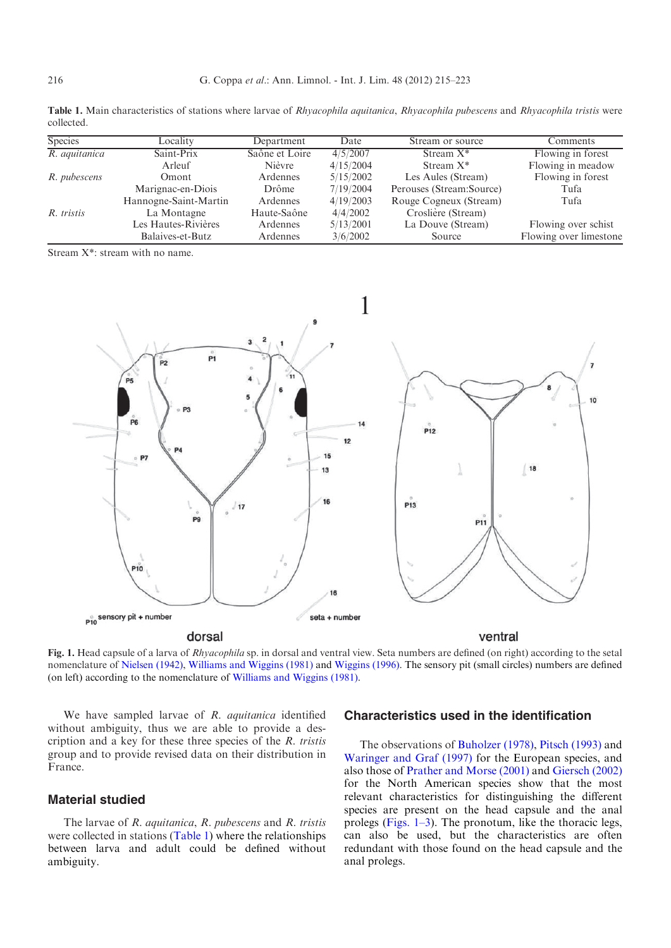<span id="page-1-0"></span>Table 1. Main characteristics of stations where larvae of Rhyacophila aquitanica, Rhyacophila pubescens and Rhyacophila tristis were collected.

| <b>Species</b> | Locality              | Department     | Date      | Stream or source         | Comments               |
|----------------|-----------------------|----------------|-----------|--------------------------|------------------------|
| R. aquitanica  | Saint-Prix            | Saône et Loire | 4/5/2007  | Stream $X^*$             | Flowing in forest      |
|                | Arleuf                | Nièvre         | 4/15/2004 | Stream $X^*$             | Flowing in meadow      |
| R. pubescens   | Omont                 | Ardennes       | 5/15/2002 | Les Aules (Stream)       | Flowing in forest      |
|                | Marignac-en-Diois     | <b>Drôme</b>   | 7/19/2004 | Perouses (Stream:Source) | Tufa                   |
|                | Hannogne-Saint-Martin | Ardennes       | 4/19/2003 | Rouge Cogneux (Stream)   | Tufa                   |
| R. tristis     | La Montagne           | Haute-Saône    | 4/4/2002  | Croslière (Stream)       |                        |
|                | Les Hautes-Rivières   | Ardennes       | 5/13/2001 | La Douve (Stream)        | Flowing over schist    |
|                | Balaives-et-Butz      | Ardennes       | 3/6/2002  | Source                   | Flowing over limestone |

Stream X\*: stream with no name.



Fig. 1. Head capsule of a larva of *Rhyacophila* sp. in dorsal and ventral view. Seta numbers are defined (on right) according to the setal nomenclature of [Nielsen \(1942\),](#page-7-0) [Williams and Wiggins \(1981\)](#page-8-0) and [Wiggins \(1996\)](#page-8-0). The sensory pit (small circles) numbers are defined (on left) according to the nomenclature of [Williams and Wiggins \(1981\).](#page-8-0)

We have sampled larvae of R. aquitanica identified without ambiguity, thus we are able to provide a description and a key for these three species of the R. tristis group and to provide revised data on their distribution in France.

## Material studied

The larvae of  $R$ . aquitanica,  $R$ . pubescens and  $R$ . tristis were collected in stations (Table 1) where the relationships between larva and adult could be defined without ambiguity.

## Characteristics used in the identification

The observations of [Buholzer \(1978\)](#page-7-0), [Pitsch \(1993\)](#page-7-0) and [Waringer and Graf \(1997\)](#page-7-0) for the European species, and also those of [Prather and Morse \(2001\)](#page-7-0) and [Giersch \(2002\)](#page-7-0) for the North American species show that the most relevant characteristics for distinguishing the different species are present on the head capsule and the anal prolegs (Figs. 1–3). The pronotum, like the thoracic legs, can also be used, but the characteristics are often redundant with those found on the head capsule and the anal prolegs.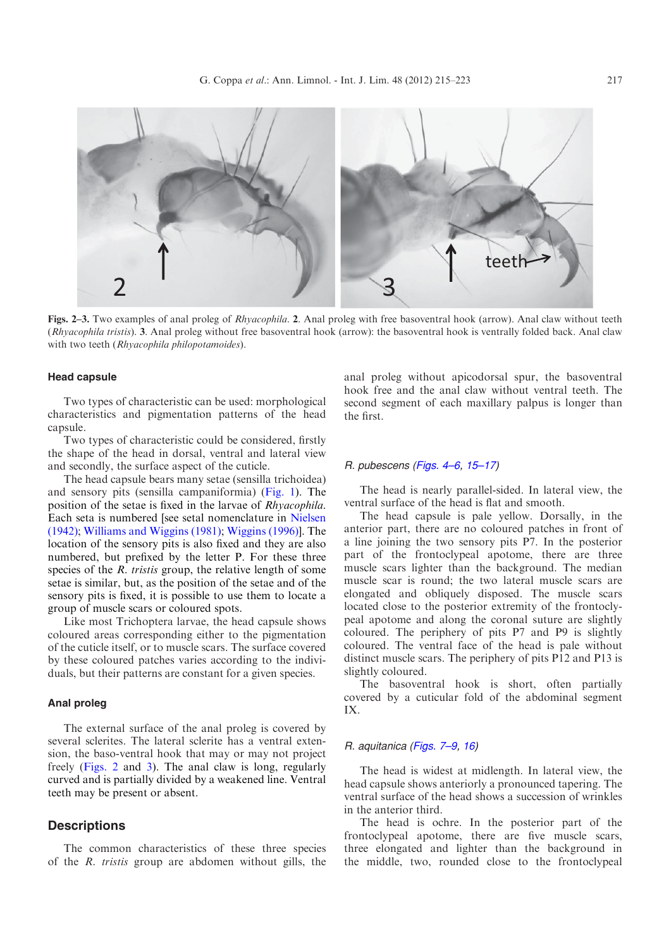

Figs. 2–3. Two examples of anal proleg of Rhyacophila. 2. Anal proleg with free basoventral hook (arrow). Anal claw without teeth (Rhyacophila tristis). 3. Anal proleg without free basoventral hook (arrow): the basoventral hook is ventrally folded back. Anal claw with two teeth (Rhyacophila philopotamoides).

#### Head capsule

Two types of characteristic can be used: morphological characteristics and pigmentation patterns of the head capsule.

Two types of characteristic could be considered, firstly the shape of the head in dorsal, ventral and lateral view and secondly, the surface aspect of the cuticle.

The head capsule bears many setae (sensilla trichoidea) and sensory pits (sensilla campaniformia) [\(Fig. 1](#page-1-0)). The position of the setae is fixed in the larvae of Rhyacophila. Each seta is numbered [see setal nomenclature in [Nielsen](#page-7-0) [\(1942\);](#page-7-0) [Williams and Wiggins \(1981\);](#page-8-0) [Wiggins \(1996\)](#page-8-0)]. The location of the sensory pits is also fixed and they are also numbered, but prefixed by the letter P. For these three species of the  $R$ . tristis group, the relative length of some setae is similar, but, as the position of the setae and of the sensory pits is fixed, it is possible to use them to locate a group of muscle scars or coloured spots.

Like most Trichoptera larvae, the head capsule shows coloured areas corresponding either to the pigmentation of the cuticle itself, or to muscle scars. The surface covered by these coloured patches varies according to the individuals, but their patterns are constant for a given species.

#### Anal proleg

The external surface of the anal proleg is covered by several sclerites. The lateral sclerite has a ventral extension, the baso-ventral hook that may or may not project freely (Figs. 2 and 3). The anal claw is long, regularly curved and is partially divided by a weakened line. Ventral teeth may be present or absent.

## **Descriptions**

The common characteristics of these three species of the R. tristis group are abdomen without gills, the anal proleg without apicodorsal spur, the basoventral hook free and the anal claw without ventral teeth. The second segment of each maxillary palpus is longer than the first.

#### R. pubescens ([Figs. 4–6,](#page-3-0) [15–17](#page-5-0))

The head is nearly parallel-sided. In lateral view, the ventral surface of the head is flat and smooth.

The head capsule is pale yellow. Dorsally, in the anterior part, there are no coloured patches in front of a line joining the two sensory pits P7. In the posterior part of the frontoclypeal apotome, there are three muscle scars lighter than the background. The median muscle scar is round; the two lateral muscle scars are elongated and obliquely disposed. The muscle scars located close to the posterior extremity of the frontoclypeal apotome and along the coronal suture are slightly coloured. The periphery of pits P7 and P9 is slightly coloured. The ventral face of the head is pale without distinct muscle scars. The periphery of pits P12 and P13 is slightly coloured.

The basoventral hook is short, often partially covered by a cuticular fold of the abdominal segment IX.

#### R. aquitanica [\(Figs. 7–9,](#page-3-0) [16\)](#page-5-0)

The head is widest at midlength. In lateral view, the head capsule shows anteriorly a pronounced tapering. The ventral surface of the head shows a succession of wrinkles in the anterior third.

The head is ochre. In the posterior part of the frontoclypeal apotome, there are five muscle scars, three elongated and lighter than the background in the middle, two, rounded close to the frontoclypeal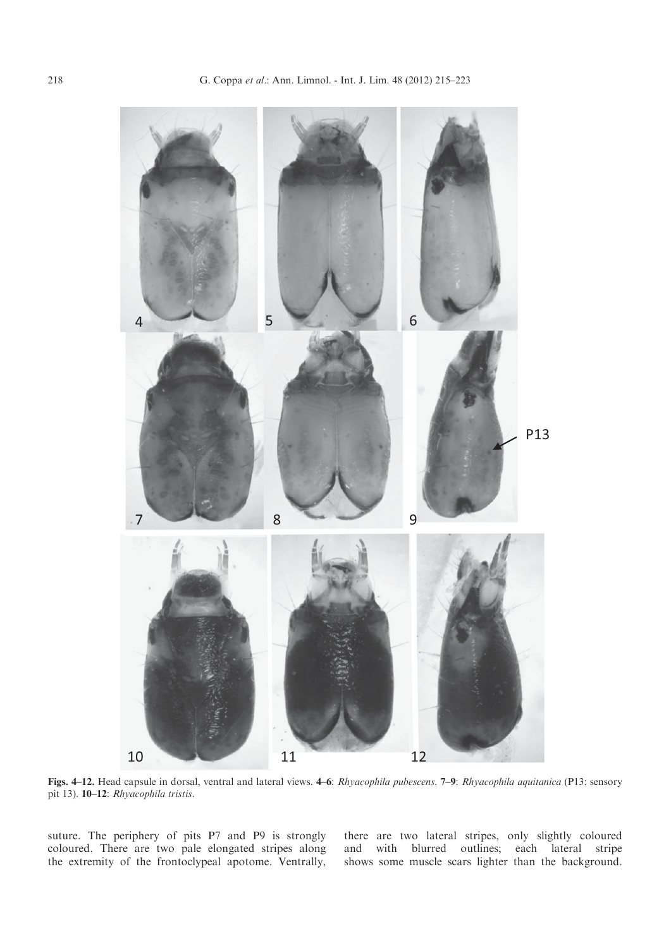<span id="page-3-0"></span>

Figs. 4–12. Head capsule in dorsal, ventral and lateral views. 4–6: Rhyacophila pubescens. 7–9: Rhyacophila aquitanica (P13: sensory pit 13). 10–12: Rhyacophila tristis.

suture. The periphery of pits P7 and P9 is strongly coloured. There are two pale elongated stripes along the extremity of the frontoclypeal apotome. Ventrally, there are two lateral stripes, only slightly coloured and with blurred outlines; each lateral stripe shows some muscle scars lighter than the background.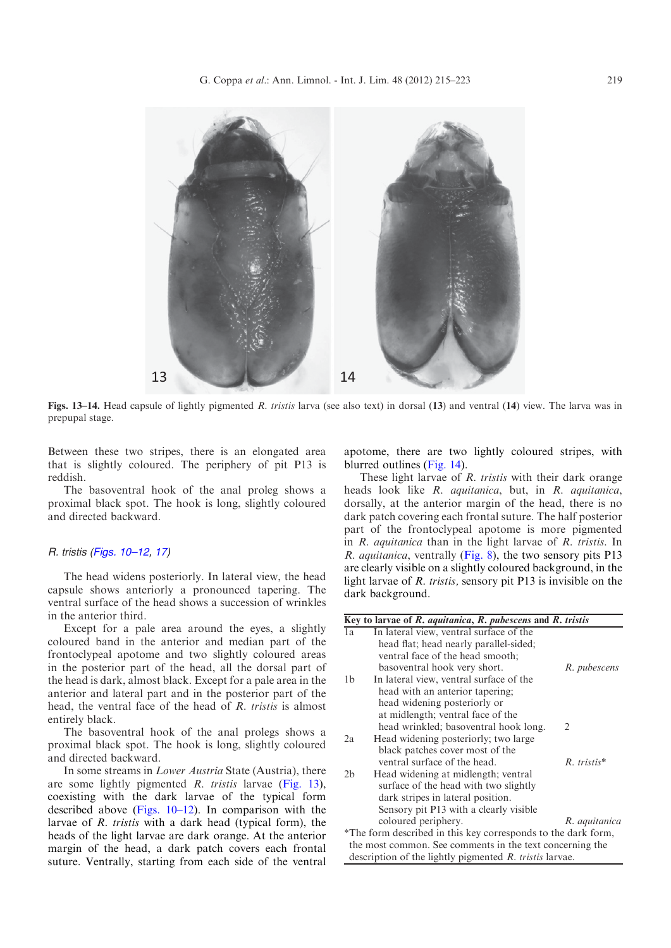

Figs. 13–14. Head capsule of lightly pigmented R. tristis larva (see also text) in dorsal (13) and ventral (14) view. The larva was in prepupal stage.

Between these two stripes, there is an elongated area that is slightly coloured. The periphery of pit P13 is reddish.

The basoventral hook of the anal proleg shows a proximal black spot. The hook is long, slightly coloured and directed backward.

#### R. tristis (Figs. 10–12, [17](#page-5-0))

The head widens posteriorly. In lateral view, the head capsule shows anteriorly a pronounced tapering. The ventral surface of the head shows a succession of wrinkles in the anterior third.

Except for a pale area around the eyes, a slightly coloured band in the anterior and median part of the frontoclypeal apotome and two slightly coloured areas in the posterior part of the head, all the dorsal part of the head is dark, almost black. Except for a pale area in the anterior and lateral part and in the posterior part of the head, the ventral face of the head of R. tristis is almost entirely black.

The basoventral hook of the anal prolegs shows a proximal black spot. The hook is long, slightly coloured and directed backward.

In some streams in Lower Austria State (Austria), there are some lightly pigmented R. tristis larvae (Fig. 13), coexisting with the dark larvae of the typical form described above ([Figs. 10–12](#page-3-0)). In comparison with the larvae of R. tristis with a dark head (typical form), the heads of the light larvae are dark orange. At the anterior margin of the head, a dark patch covers each frontal suture. Ventrally, starting from each side of the ventral apotome, there are two lightly coloured stripes, with blurred outlines (Fig. 14).

These light larvae of R. tristis with their dark orange heads look like R. aquitanica, but, in R. aquitanica, dorsally, at the anterior margin of the head, there is no dark patch covering each frontal suture. The half posterior part of the frontoclypeal apotome is more pigmented in R. aquitanica than in the light larvae of R. tristis. In R. aquitanica, ventrally [\(Fig. 8\)](#page-3-0), the two sensory pits P13 are clearly visible on a slightly coloured background, in the light larvae of R. tristis, sensory pit P13 is invisible on the dark background.

|                | Key to larvae of $R$ . <i>aquitanica</i> , $R$ . <i>pubescens</i> and $R$ . <i>tristis</i> |               |
|----------------|--------------------------------------------------------------------------------------------|---------------|
| 1a             | In lateral view, ventral surface of the                                                    |               |
|                | head flat; head nearly parallel-sided;                                                     |               |
|                | ventral face of the head smooth;                                                           |               |
|                | basoventral hook very short.                                                               | R. pubescens  |
| 1 <sub>b</sub> | In lateral view, ventral surface of the                                                    |               |
|                | head with an anterior tapering;                                                            |               |
|                | head widening posteriorly or                                                               |               |
|                | at midlength; ventral face of the                                                          |               |
|                | head wrinkled; basoventral hook long.                                                      | 2             |
| 2a             | Head widening posteriorly; two large                                                       |               |
|                | black patches cover most of the                                                            |               |
|                | ventral surface of the head.                                                               | $R.$ tristis* |
| 2 <sub>b</sub> | Head widening at midlength; ventral                                                        |               |
|                | surface of the head with two slightly                                                      |               |
|                | dark stripes in lateral position.                                                          |               |
|                | Sensory pit P13 with a clearly visible                                                     |               |
|                | coloured periphery.                                                                        | R. aquitanica |
|                | *The form described in this key corresponds to the dark form,                              |               |
|                | the most common. See comments in the text concerning the                                   |               |
|                | description of the lightly pigmented R. tristis larvae.                                    |               |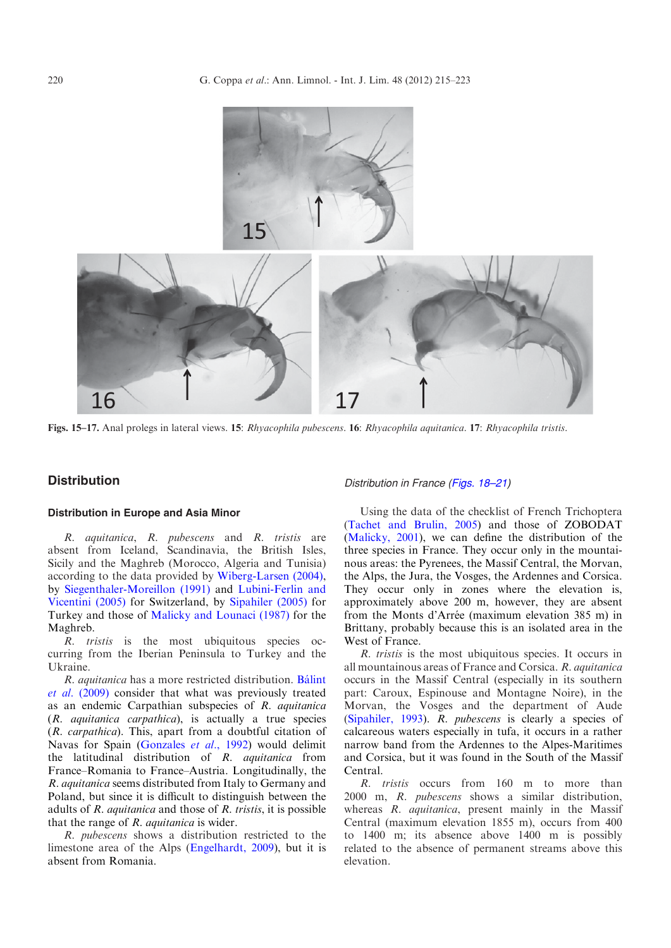<span id="page-5-0"></span>

Figs. 15–17. Anal prolegs in lateral views. 15: Rhyacophila pubescens. 16: Rhyacophila aquitanica. 17: Rhyacophila tristis.

## **Distribution**

### Distribution in Europe and Asia Minor

R. aquitanica, R. pubescens and R. tristis are absent from Iceland, Scandinavia, the British Isles, Sicily and the Maghreb (Morocco, Algeria and Tunisia) according to the data provided by [Wiberg-Larsen \(2004\),](#page-7-0) by [Siegenthaler-Moreillon \(1991\)](#page-7-0) and [Lubini-Ferlin and](#page-7-0) [Vicentini \(2005\)](#page-7-0) for Switzerland, by [Sipahiler \(2005\)](#page-7-0) for Turkey and those of [Malicky and Lounaci \(1987\)](#page-7-0) for the Maghreb.

R. tristis is the most ubiquitous species occurring from the Iberian Peninsula to Turkey and the Ukraine.

R. *aquitanica* has a more restricted distribution. Bálint et al[. \(2009\)](#page-7-0) consider that what was previously treated as an endemic Carpathian subspecies of R. aquitanica (R. aquitanica carpathica), is actually a true species (R. carpathica). This, apart from a doubtful citation of Navas for Spain [\(Gonzales](#page-7-0) et al., 1992) would delimit the latitudinal distribution of R. aquitanica from France–Romania to France–Austria. Longitudinally, the R. aquitanica seems distributed from Italy to Germany and Poland, but since it is difficult to distinguish between the adults of  $R$ . *aquitanica* and those of  $R$ . *tristis*, it is possible that the range of  $R$ . *aquitanica* is wider.

R. pubescens shows a distribution restricted to the limestone area of the Alps [\(Engelhardt, 2009](#page-7-0)), but it is absent from Romania.

Using the data of the checklist of French Trichoptera ([Tachet and Brulin, 2005](#page-7-0)) and those of ZOBODAT ([Malicky, 2001\)](#page-7-0), we can define the distribution of the three species in France. They occur only in the mountainous areas: the Pyrenees, the Massif Central, the Morvan, the Alps, the Jura, the Vosges, the Ardennes and Corsica. They occur only in zones where the elevation is, approximately above 200 m, however, they are absent from the Monts d'Arrée (maximum elevation 385 m) in Brittany, probably because this is an isolated area in the West of France.

Distribution in France [\(Figs. 18–21\)](#page-6-0)

R. tristis is the most ubiquitous species. It occurs in all mountainous areas of France and Corsica. R. aquitanica occurs in the Massif Central (especially in its southern part: Caroux, Espinouse and Montagne Noire), in the Morvan, the Vosges and the department of Aude ([Sipahiler, 1993](#page-7-0)). R. pubescens is clearly a species of calcareous waters especially in tufa, it occurs in a rather narrow band from the Ardennes to the Alpes-Maritimes and Corsica, but it was found in the South of the Massif Central.

R. tristis occurs from 160 m to more than 2000 m, R. pubescens shows a similar distribution, whereas R. aquitanica, present mainly in the Massif Central (maximum elevation 1855 m), occurs from 400 to 1400 m; its absence above 1400 m is possibly related to the absence of permanent streams above this elevation.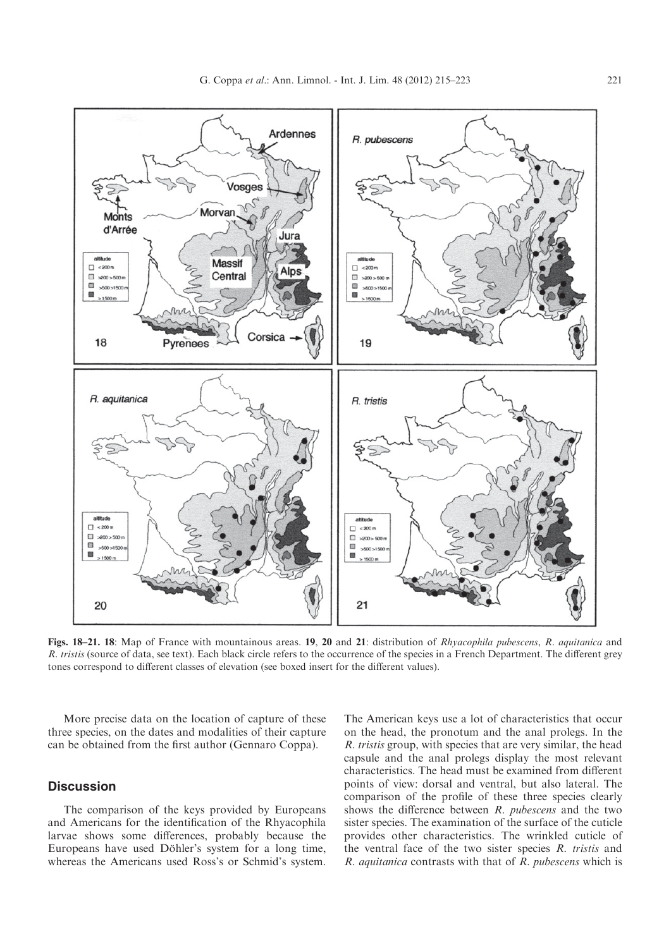<span id="page-6-0"></span>

Figs. 18–21. 18: Map of France with mountainous areas. 19, 20 and 21: distribution of Rhyacophila pubescens, R. aquitanica and R. tristis (source of data, see text). Each black circle refers to the occurrence of the species in a French Department. The different grey tones correspond to different classes of elevation (see boxed insert for the different values).

More precise data on the location of capture of these three species, on the dates and modalities of their capture can be obtained from the first author (Gennaro Coppa).

## **Discussion**

The comparison of the keys provided by Europeans and Americans for the identification of the Rhyacophila larvae shows some differences, probably because the Europeans have used Döhler's system for a long time, whereas the Americans used Ross's or Schmid's system.

The American keys use a lot of characteristics that occur on the head, the pronotum and the anal prolegs. In the R. tristis group, with species that are very similar, the head capsule and the anal prolegs display the most relevant characteristics. The head must be examined from different points of view: dorsal and ventral, but also lateral. The comparison of the profile of these three species clearly shows the difference between  $R$ .  $pubescens$  and the two sister species. The examination of the surface of the cuticle provides other characteristics. The wrinkled cuticle of the ventral face of the two sister species  $R$ . tristis and R. aquitanica contrasts with that of R. pubescens which is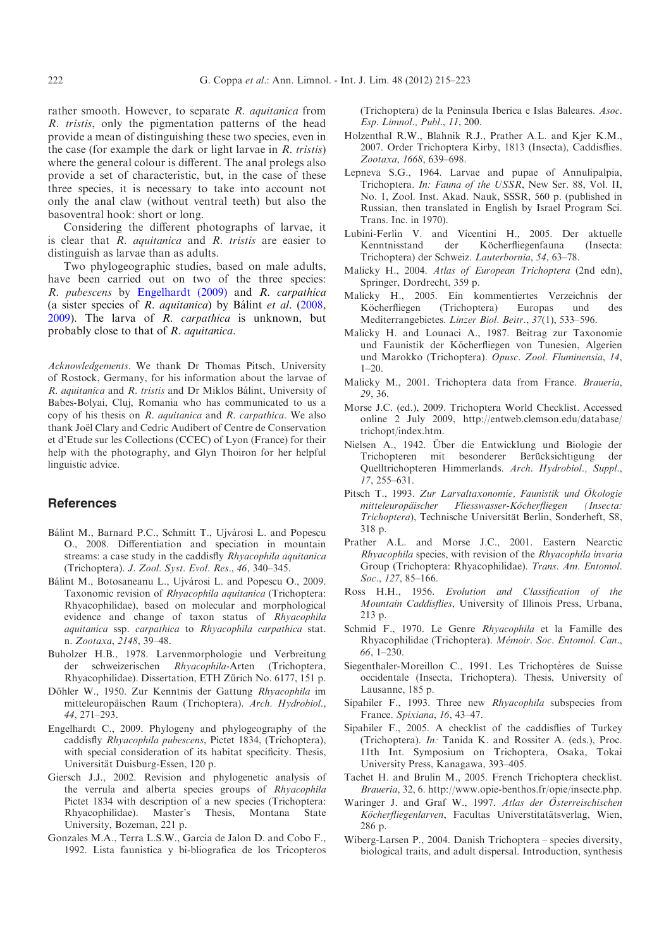<span id="page-7-0"></span>rather smooth. However, to separate R. aquitanica from R. tristis, only the pigmentation patterns of the head provide a mean of distinguishing these two species, even in the case (for example the dark or light larvae in  $R$ . tristis) where the general colour is different. The anal prolegs also provide a set of characteristic, but, in the case of these three species, it is necessary to take into account not only the anal claw (without ventral teeth) but also the basoventral hook: short or long.

Considering the different photographs of larvae, it is clear that  $R$ . *aquitanica* and  $R$ . *tristis* are easier to distinguish as larvae than as adults.

Two phylogeographic studies, based on male adults, have been carried out on two of the three species: R. pubescens by Engelhardt (2009) and R. carpathica (a sister species of  $R.$  *aquitanica*) by Bálint et al. (2008,  $2009$ ). The larva of R. *carpathica* is unknown, but probably close to that of R. aquitanica.

Acknowledgements. We thank Dr Thomas Pitsch, University of Rostock, Germany, for his information about the larvae of R. aquitanica and R. tristis and Dr Miklos Bálint, University of Babes-Bolyai, Cluj, Romania who has communicated to us a copy of his thesis on R. aquitanica and R. carpathica. We also thank Joël Clary and Cedric Audibert of Centre de Conservation et d'Etude sur les Collections (CCEC) of Lyon (France) for their help with the photography, and Glyn Thoiron for her helpful linguistic advice.

## References

- Bálint M., Barnard P.C., Schmitt T., Ujvárosi L. and Popescu O., 2008. Differentiation and speciation in mountain streams: a case study in the caddisfly Rhyacophila aquitanica (Trichoptera). J. Zool. Syst. Evol. Res., 46, 340–345.
- Bálint M., Botosaneanu L., Ujvárosi L. and Popescu O., 2009. Taxonomic revision of Rhyacophila aquitanica (Trichoptera: Rhyacophilidae), based on molecular and morphological evidence and change of taxon status of Rhyacophila aquitanica ssp. carpathica to Rhyacophila carpathica stat. n. Zootaxa, 2148, 39–48.
- Buholzer H.B., 1978. Larvenmorphologie und Verbreitung der schweizerischen Rhyacophila-Arten (Trichoptera, Rhyacophilidae). Dissertation, ETH Zürich No. 6177, 151 p.
- Döhler W., 1950. Zur Kenntnis der Gattung Rhyacophila im mitteleuropäischen Raum (Trichoptera). Arch. Hydrobiol., 44, 271–293.
- Engelhardt C., 2009. Phylogeny and phylogeography of the caddisfly Rhyacophila pubescens, Pictet 1834, (Trichoptera), with special consideration of its habitat specificity. Thesis, Universität Duisburg-Essen, 120 p.
- Giersch J.J., 2002. Revision and phylogenetic analysis of the verrula and alberta species groups of Rhyacophila Pictet 1834 with description of a new species (Trichoptera: Rhyacophilidae). Master's Thesis, Montana State University, Bozeman, 221 p.
- Gonzales M.A., Terra L.S.W., Garcia de Jalon D. and Cobo F., 1992. Lista faunistica y bi-bliografica de los Tricopteros

(Trichoptera) de la Peninsula Iberica e Islas Baleares. Asoc. Esp. Limnol., Publ., 11, 200.

- Holzenthal R.W., Blahnik R.J., Prather A.L. and Kjer K.M., 2007. Order Trichoptera Kirby, 1813 (Insecta), Caddisflies. Zootaxa, 1668, 639–698.
- Lepneva S.G., 1964. Larvae and pupae of Annulipalpia, Trichoptera. In: Fauna of the USSR, New Ser. 88, Vol. II, No. 1, Zool. Inst. Akad. Nauk, SSSR, 560 p. (published in Russian, then translated in English by Israel Program Sci. Trans. Inc. in 1970).
- Lubini-Ferlin V. and Vicentini H., 2005. Der aktuelle Kenntnisstand der Köcherfliegenfauna (Insecta: Trichoptera) der Schweiz. Lauterbornia, 54, 63–78.
- Malicky H., 2004. Atlas of European Trichoptera (2nd edn), Springer, Dordrecht, 359 p.
- Malicky H., 2005. Ein kommentiertes Verzeichnis der Köcherfliegen (Trichoptera) Europas und des Mediterrangebietes. Linzer Biol. Beitr., 37(1), 533–596.
- Malicky H. and Lounaci A., 1987. Beitrag zur Taxonomie und Faunistik der Köcherfliegen von Tunesien, Algerien und Marokko (Trichoptera). Opusc. Zool. Fluminensia, 14, 1–20.
- Malicky M., 2001. Trichoptera data from France. Braueria, 29, 36.
- Morse J.C. (ed.), 2009. Trichoptera World Checklist. Accessed online 2 July 2009, http://entweb.clemson.edu/database/ trichopt/index.htm.
- Nielsen A., 1942. Über die Entwicklung und Biologie der Trichopteren mit besonderer Berücksichtigung der Quelltrichopteren Himmerlands. Arch. Hydrobiol., Suppl., 17, 255–631.
- Pitsch T., 1993. Zur Larvaltaxonomie, Faunistik und Ökologie mitteleuropäischer Fliesswasser-Köcherfliegen (Insecta: Trichoptera), Technische Universität Berlin, Sonderheft, S8, 318 p.
- Prather A.L. and Morse J.C., 2001. Eastern Nearctic Rhyacophila species, with revision of the Rhyacophila invaria Group (Trichoptera: Rhyacophilidae). Trans. Am. Entomol. Soc., 127, 85-166.
- Ross H.H., 1956. Evolution and Classification of the Mountain Caddisflies, University of Illinois Press, Urbana, 213 p.
- Schmid F., 1970. Le Genre Rhyacophila et la Famille des Rhyacophilidae (Trichoptera). Mémoir. Soc. Entomol. Can., 66, 1–230.
- Siegenthaler-Moreillon C., 1991. Les Trichoptères de Suisse occidentale (Insecta, Trichoptera). Thesis, University of Lausanne, 185 p.
- Sipahiler F., 1993. Three new Rhyacophila subspecies from France. Spixiana, 16, 43–47.
- Sipahiler F., 2005. A checklist of the caddisflies of Turkey (Trichoptera). In: Tanida K. and Rossiter A. (eds.), Proc. 11th Int. Symposium on Trichoptera, Osaka, Tokai University Press, Kanagawa, 393–405.
- Tachet H. and Brulin M., 2005. French Trichoptera checklist. Braueria, 32, 6. http://www.opie-benthos.fr/opie/insecte.php.
- Waringer J. and Graf W., 1997. Atlas der Österreischischen Köcherfliegenlarven, Facultas Universtitatätsverlag, Wien, 286 p.
- Wiberg-Larsen P., 2004. Danish Trichoptera species diversity, biological traits, and adult dispersal. Introduction, synthesis